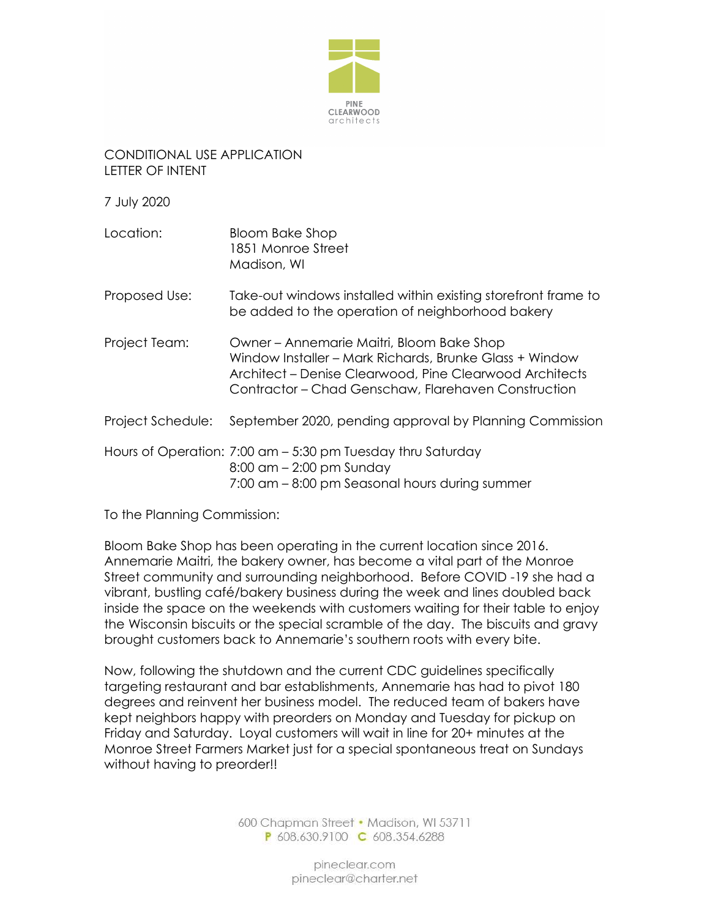

## CONDITIONAL USE APPLICATION LETTER OF INTENT

7 July 2020

- Location: Bloom Bake Shop 1851 Monroe Street Madison, WI
- Proposed Use: Take-out windows installed within existing storefront frame to be added to the operation of neighborhood bakery
- Project Team: Owner Annemarie Maitri, Bloom Bake Shop Window Installer – Mark Richards, Brunke Glass + Window Architect – Denise Clearwood, Pine Clearwood Architects Contractor – Chad Genschaw, Flarehaven Construction
- Project Schedule: September 2020, pending approval by Planning Commission
- Hours of Operation: 7:00 am 5:30 pm Tuesday thru Saturday
	- 8:00 am 2:00 pm Sunday

7:00 am – 8:00 pm Seasonal hours during summer

To the Planning Commission:

Bloom Bake Shop has been operating in the current location since 2016. Annemarie Maitri, the bakery owner, has become a vital part of the Monroe Street community and surrounding neighborhood. Before COVID -19 she had a vibrant, bustling café/bakery business during the week and lines doubled back inside the space on the weekends with customers waiting for their table to enjoy the Wisconsin biscuits or the special scramble of the day. The biscuits and gravy brought customers back to Annemarie's southern roots with every bite.

Now, following the shutdown and the current CDC guidelines specifically targeting restaurant and bar establishments, Annemarie has had to pivot 180 degrees and reinvent her business model. The reduced team of bakers have kept neighbors happy with preorders on Monday and Tuesday for pickup on Friday and Saturday. Loyal customers will wait in line for 20+ minutes at the Monroe Street Farmers Market just for a special spontaneous treat on Sundays without having to preorder!!

> 600 Chapman Street • Madison, WI 53711 P 608.630.9100 C 608.354.6288

> > pineclear.com pineclear@charter.net